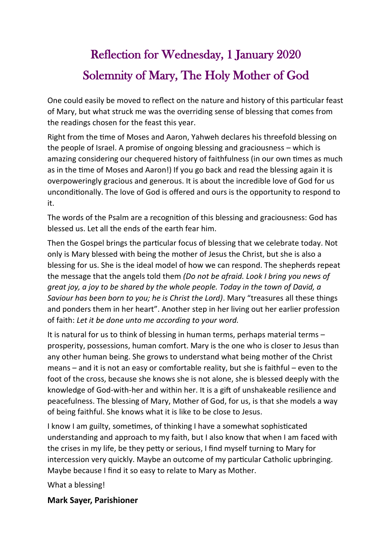## Reflection for Wednesday, 1 January 2020 Solemnity of Mary, The Holy Mother of God

One could easily be moved to reflect on the nature and history of this particular feast of Mary, but what struck me was the overriding sense of blessing that comes from the readings chosen for the feast this year.

Right from the time of Moses and Aaron, Yahweh declares his threefold blessing on the people of Israel. A promise of ongoing blessing and graciousness – which is amazing considering our chequered history of faithfulness (in our own times as much as in the time of Moses and Aaron!) If you go back and read the blessing again it is overpoweringly gracious and generous. It is about the incredible love of God for us unconditionally. The love of God is offered and ours is the opportunity to respond to it.

The words of the Psalm are a recognition of this blessing and graciousness: God has blessed us. Let all the ends of the earth fear him.

Then the Gospel brings the particular focus of blessing that we celebrate today. Not only is Mary blessed with being the mother of Jesus the Christ, but she is also a blessing for us. She is the ideal model of how we can respond. The shepherds repeat the message that the angels told them *(Do not be afraid. Look I bring you news of great joy, a joy to be shared by the whole people. Today in the town of David, a Saviour has been born to you; he is Christ the Lord)*. Mary "treasures all these things and ponders them in her heart". Another step in her living out her earlier profession of faith: *Let it be done unto me according to your word.*

It is natural for us to think of blessing in human terms, perhaps material terms – prosperity, possessions, human comfort. Mary is the one who is closer to Jesus than any other human being. She grows to understand what being mother of the Christ means – and it is not an easy or comfortable reality, but she is faithful – even to the foot of the cross, because she knows she is not alone, she is blessed deeply with the knowledge of God-with-her and within her. It is a gift of unshakeable resilience and peacefulness. The blessing of Mary, Mother of God, for us, is that she models a way of being faithful. She knows what it is like to be close to Jesus.

I know I am guilty, sometimes, of thinking I have a somewhat sophisticated understanding and approach to my faith, but I also know that when I am faced with the crises in my life, be they petty or serious, I find myself turning to Mary for intercession very quickly. Maybe an outcome of my particular Catholic upbringing. Maybe because I find it so easy to relate to Mary as Mother.

What a blessing!

**Mark Sayer, Parishioner**